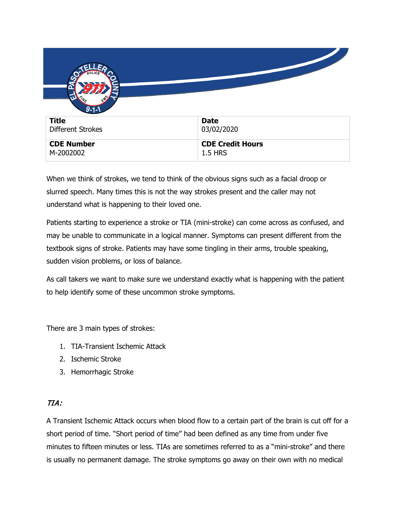| $9 - 1 - 1$       |                         |
|-------------------|-------------------------|
| <b>Title</b>      | <b>Date</b>             |
| Different Strokes | 03/02/2020              |
| <b>CDE Number</b> | <b>CDE Credit Hours</b> |
| M-2002002         | <b>1.5 HRS</b>          |

When we think of strokes, we tend to think of the obvious signs such as a facial droop or slurred speech. Many times this is not the way strokes present and the caller may not understand what is happening to their loved one.

Patients starting to experience a stroke or TIA (mini-stroke) can come across as confused, and may be unable to communicate in a logical manner. Symptoms can present different from the textbook signs of stroke. Patients may have some tingling in their arms, trouble speaking, sudden vision problems, or loss of balance.

As call takers we want to make sure we understand exactly what is happening with the patient to help identify some of these uncommon stroke symptoms.

There are 3 main types of strokes:

- 1. TIA-Transient Ischemic Attack
- 2. Ischemic Stroke
- 3. Hemorrhagic Stroke

# TIA:

A Transient Ischemic Attack occurs when blood flow to a certain part of the brain is cut off for a short period of time. "Short period of time" had been defined as any time from under five minutes to fifteen minutes or less. TIAs are sometimes referred to as a "mini-stroke" and there is usually no permanent damage. The stroke symptoms go away on their own with no medical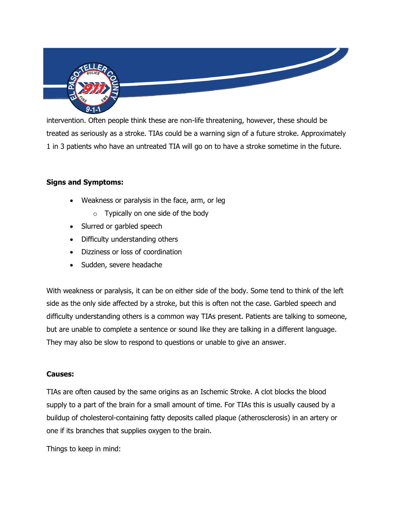

intervention. Often people think these are non-life threatening, however, these should be treated as seriously as a stroke. TIAs could be a warning sign of a future stroke. Approximately 1 in 3 patients who have an untreated TIA will go on to have a stroke sometime in the future.

## **Signs and Symptoms:**

- Weakness or paralysis in the face, arm, or leg
	- $\circ$  Typically on one side of the body
- Slurred or garbled speech
- Difficulty understanding others
- Dizziness or loss of coordination
- Sudden, severe headache

With weakness or paralysis, it can be on either side of the body. Some tend to think of the left side as the only side affected by a stroke, but this is often not the case. Garbled speech and difficulty understanding others is a common way TIAs present. Patients are talking to someone, but are unable to complete a sentence or sound like they are talking in a different language. They may also be slow to respond to questions or unable to give an answer.

### **Causes:**

TIAs are often caused by the same origins as an Ischemic Stroke. A clot blocks the blood supply to a part of the brain for a small amount of time. For TIAs this is usually caused by a buildup of cholesterol-containing fatty deposits called plaque (atherosclerosis) in an artery or one if its branches that supplies oxygen to the brain.

Things to keep in mind: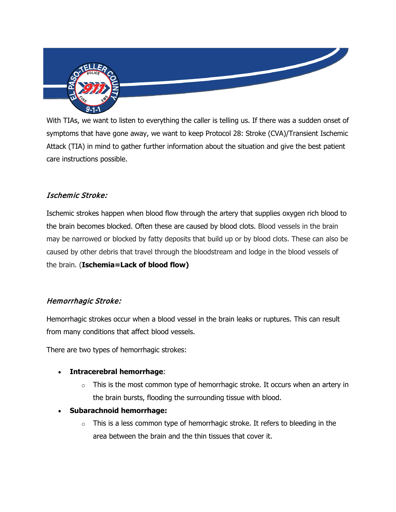

With TIAs, we want to listen to everything the caller is telling us. If there was a sudden onset of symptoms that have gone away, we want to keep Protocol 28: Stroke (CVA)/Transient Ischemic Attack (TIA) in mind to gather further information about the situation and give the best patient care instructions possible.

## Ischemic Stroke:

Ischemic strokes happen when blood flow through the artery that supplies oxygen rich blood to the brain becomes blocked. Often these are caused by blood clots. Blood vessels in the brain may be narrowed or blocked by fatty deposits that build up or by blood clots. These can also be caused by other debris that travel through the bloodstream and lodge in the blood vessels of the brain. (**Ischemia=Lack of blood flow)**

# Hemorrhagic Stroke:

Hemorrhagic strokes occur when a blood vessel in the brain leaks or ruptures. This can result from many conditions that affect blood vessels.

There are two types of hemorrhagic strokes:

- **Intracerebral hemorrhage**:
	- $\circ$  This is the most common type of hemorrhagic stroke. It occurs when an artery in the brain bursts, flooding the surrounding tissue with blood.
- **Subarachnoid hemorrhage:**
	- $\circ$  This is a less common type of hemorrhagic stroke. It refers to bleeding in the area between the brain and the thin tissues that cover it.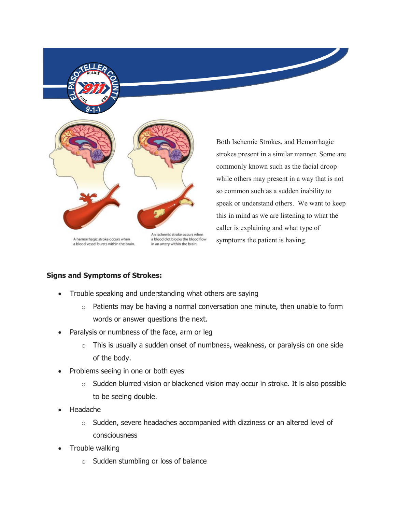

A hemorrhagic stroke occurs when a blood vessel bursts within the brain. a blood clot blocks the blood flow in an artery within the brain.

Both Ischemic Strokes, and Hemorrhagic strokes present in a similar manner. Some are commonly known such as the facial droop while others may present in a way that is not so common such as a sudden inability to speak or understand others. We want to keep this in mind as we are listening to what the caller is explaining and what type of symptoms the patient is having.

## **Signs and Symptoms of Strokes:**

- Trouble speaking and understanding what others are saying
	- $\circ$  Patients may be having a normal conversation one minute, then unable to form words or answer questions the next.
- Paralysis or numbness of the face, arm or leg
	- $\circ$  This is usually a sudden onset of numbness, weakness, or paralysis on one side of the body.
- Problems seeing in one or both eyes
	- $\circ$  Sudden blurred vision or blackened vision may occur in stroke. It is also possible to be seeing double.
- Headache
	- o Sudden, severe headaches accompanied with dizziness or an altered level of consciousness
- Trouble walking
	- o Sudden stumbling or loss of balance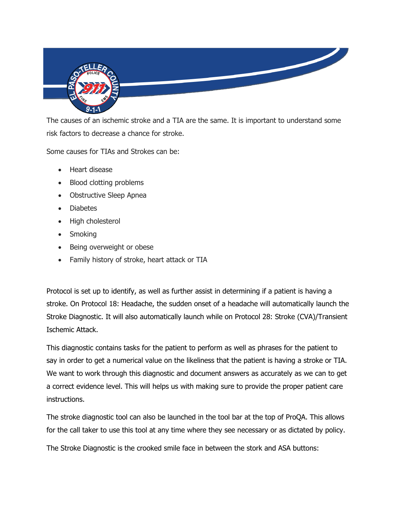

The causes of an ischemic stroke and a TIA are the same. It is important to understand some risk factors to decrease a chance for stroke.

Some causes for TIAs and Strokes can be:

- Heart disease
- Blood clotting problems
- Obstructive Sleep Apnea
- Diabetes
- High cholesterol
- Smoking
- Being overweight or obese
- Family history of stroke, heart attack or TIA

Protocol is set up to identify, as well as further assist in determining if a patient is having a stroke. On Protocol 18: Headache, the sudden onset of a headache will automatically launch the Stroke Diagnostic. It will also automatically launch while on Protocol 28: Stroke (CVA)/Transient Ischemic Attack.

This diagnostic contains tasks for the patient to perform as well as phrases for the patient to say in order to get a numerical value on the likeliness that the patient is having a stroke or TIA. We want to work through this diagnostic and document answers as accurately as we can to get a correct evidence level. This will helps us with making sure to provide the proper patient care instructions.

The stroke diagnostic tool can also be launched in the tool bar at the top of ProQA. This allows for the call taker to use this tool at any time where they see necessary or as dictated by policy.

The Stroke Diagnostic is the crooked smile face in between the stork and ASA buttons: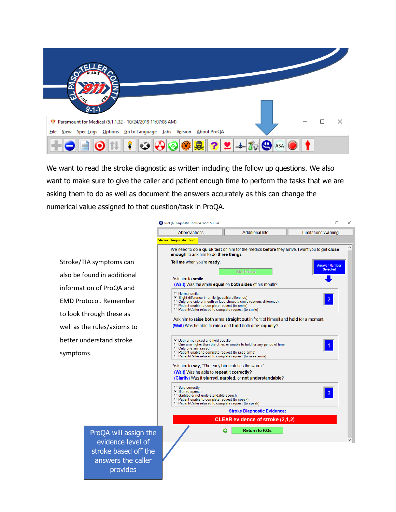

We want to read the stroke diagnostic as written including the follow up questions. We also want to make sure to give the caller and patient enough time to perform the tasks that we are asking them to do as well as document the answers accurately as this can change the numerical value assigned to that question/task in ProQA.

Stroke/TIA symptoms can also be found in additional information of ProQA and EMD Protocol. Remember to look through these as well as the rules/axioms to better understand stroke symptoms.

> ProQA will assign the evidence level of stroke based off the answers the caller provides

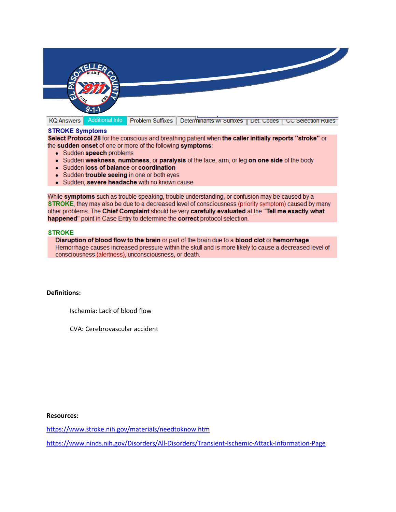

**KQ Answers** 

**Additional Info** 

Problem Suffixes | Determinants w/ Sunixes | Det. Codes | CC Selection Rules

#### **STROKE Symptoms**

Select Protocol 28 for the conscious and breathing patient when the caller initially reports "stroke" or the sudden onset of one or more of the following symptoms:

- Sudden speech problems
- Sudden weakness, numbness, or paralysis of the face, arm, or leg on one side of the body
- Sudden loss of balance or coordination
- Sudden trouble seeing in one or both eyes
- Sudden, severe headache with no known cause

While symptoms such as trouble speaking, trouble understanding, or confusion may be caused by a STROKE, they may also be due to a decreased level of consciousness (priority symptom) caused by many other problems. The Chief Complaint should be very carefully evaluated at the "Tell me exactly what happened" point in Case Entry to determine the correct protocol selection.

#### **STROKE**

Disruption of blood flow to the brain or part of the brain due to a blood clot or hemorrhage. Hemorrhage causes increased pressure within the skull and is more likely to cause a decreased level of consciousness (alertness), unconsciousness, or death.

### **Definitions:**

Ischemia: Lack of blood flow

CVA: Cerebrovascular accident

#### **Resources:**

<https://www.stroke.nih.gov/materials/needtoknow.htm>

<https://www.ninds.nih.gov/Disorders/All-Disorders/Transient-Ischemic-Attack-Information-Page>